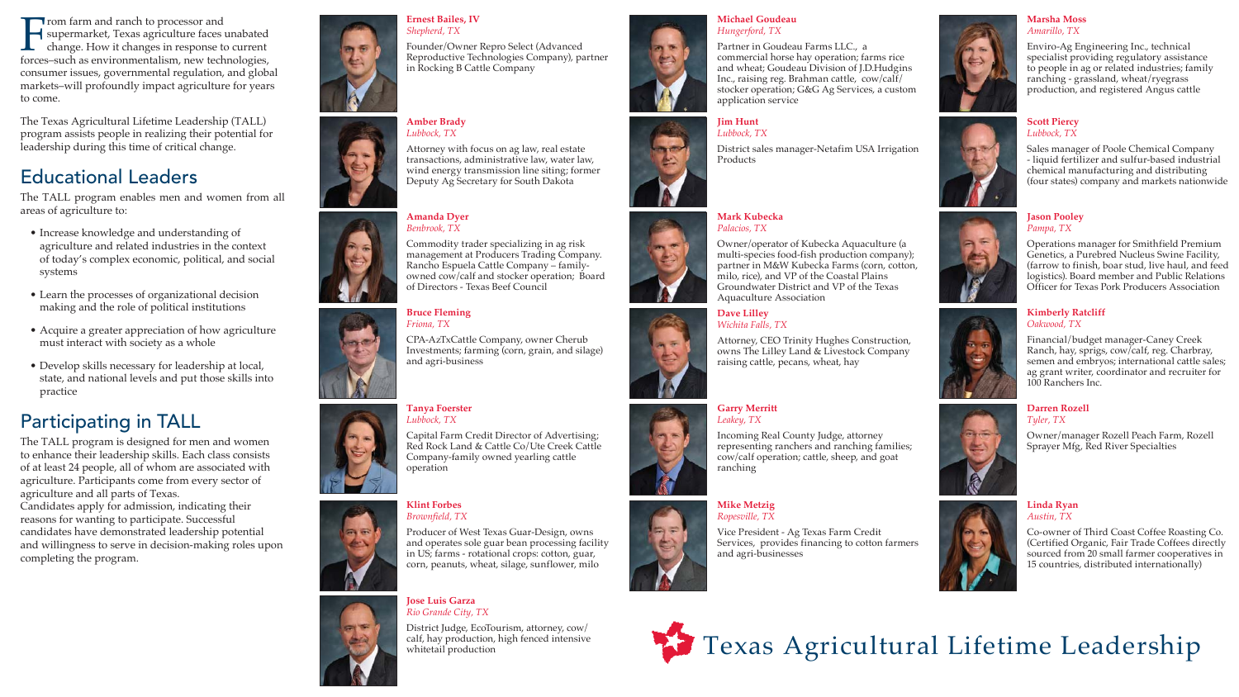





From farm and ranch to processor and<br>supermarket, Texas agriculture faces unabated<br>change. How it changes in response to current forces–such as environmentalism, new technologies, consumer issues, governmental regulation, and global markets–will profoundly impact agriculture for years to come.

The Texas Agricultural Lifetime Leadership (TALL) program assists people in realizing their potential for leadership during this time of critical change.

### Educational Leaders

The TALL program enables men and women from all areas of agriculture to:

- Increase knowledge and understanding of agriculture and related industries in the context of today's complex economic, political, and social systems
- Learn the processes of organizational decision making and the role of political institutions
- Acquire a greater appreciation of how agriculture must interact with society as a whole
- Develop skills necessary for leadership at local, state, and national levels and put those skills into practice

## Participating in TALL

The TALL program is designed for men and women to enhance their leadership skills. Each class consists of at least 24 people, all of whom are associated with agriculture. Participants come from every sector of agriculture and all parts of Texas.

Candidates apply for admission, indicating their reasons for wanting to participate. Successful candidates have demonstrated leadership potential and willingness to serve in decision-making roles upon completing the program.















#### **Ernest Bailes, IV**  *Shepherd, TX*

Founder/Owner Repro Select (Advanced Reproductive Technologies Company), partner in Rocking B Cattle Company

#### **Amber Brady**  *Lubbock, TX*

Attorney with focus on ag law, real estate transactions, administrative law, water law, wind energy transmission line siting; former Deputy Ag Secretary for South Dakota

#### **Amanda Dyer**  *Benbrook, TX*

Commodity trader specializing in ag risk management at Producers Trading Company. Rancho Espuela Cattle Company – familyowned cow/calf and stocker operation; Board of Directors - Texas Beef Council

#### **Bruce Fleming**  *Friona, TX*

CPA-AzTxCattle Company, owner Cherub Investments; farming (corn, grain, and silage) and agri-business

### **Tanya Foerster**  *Lubbock, TX*

Capital Farm Credit Director of Advertising; Red Rock Land & Cattle Co/Ute Creek Cattle Company-family owned yearling cattle operation

#### **Klint Forbes** *Brownfield, TX*

Producer of West Texas Guar-Design, owns and operates sole guar bean processing facility in US; farms - rotational crops: cotton, guar, corn, peanuts, wheat, silage, sunflower, milo

#### **Jose Luis Garza**  *Rio Grande City, TX*

District Judge, EcoTourism, attorney, cow/ calf, hay production, high fenced intensive whitetail production



#### **Michael Goudeau**  *Hungerford, TX*

Partner in Goudeau Farms LLC., a commercial horse hay operation; farms rice and wheat; Goudeau Division of J.D.Hudgins Inc., raising reg. Brahman cattle, cow/calf/ stocker operation; G&G Ag Services, a custom application service

#### **Jim Hunt**  *Lubbock, TX*

District sales manager-Netafim USA Irrigation Products



#### **Mark Kubecka** *Palacios, TX*

Owner/operator of Kubecka Aquaculture (a multi-species food-fish production company); partner in M&W Kubecka Farms (corn, cotton, milo, rice), and VP of the Coastal Plains Groundwater District and VP of the Texas Aquaculture Association

### **Dave Lilley**  *Wichita Falls, TX*

Attorney, CEO Trinity Hughes Construction, owns The Lilley Land & Livestock Company raising cattle, pecans, wheat, hay



#### **Garry Merritt**  *Leakey, TX*

Incoming Real County Judge, attorney representing ranchers and ranching families; cow/calf operation; cattle, sheep, and goat ranching

#### **Mike Metzig**  *Ropesville, TX*

Vice President - Ag Texas Farm Credit Services, provides financing to cotton farmers and agri-businesses



#### **Marsha Moss** *Amarillo, TX*

Enviro-Ag Engineering Inc., technical specialist providing regulatory assistance to people in ag or related industries; family ranching - grassland, wheat/ryegrass production, and registered Angus cattle



#### **Scott Piercy**  *Lubbock, TX*

Sales manager of Poole Chemical Company - liquid fertilizer and sulfur-based industrial chemical manufacturing and distributing (four states) company and markets nationwide



#### **Jason Pooley**  *Pampa, TX*

Operations manager for Smithfield Premium Genetics, a Purebred Nucleus Swine Facility, (farrow to finish, boar stud, live haul, and feed logistics). Board member and Public Relations Officer for Texas Pork Producers Association

#### **Kimberly Ratcliff**  *Oakwood, TX*

Financial/budget manager-Caney Creek Ranch, hay, sprigs, cow/calf, reg. Charbray, semen and embryos; international cattle sales; ag grant writer, coordinator and recruiter for 100 Ranchers Inc.

#### **Darren Rozell** *Tyler, TX*

Owner/manager Rozell Peach Farm, Rozell Sprayer Mfg, Red River Specialties

#### **Linda Ryan**  *Austin, TX*

Co-owner of Third Coast Coffee Roasting Co. (Certified Organic, Fair Trade Coffees directly sourced from 20 small farmer cooperatives in 15 countries, distributed internationally)